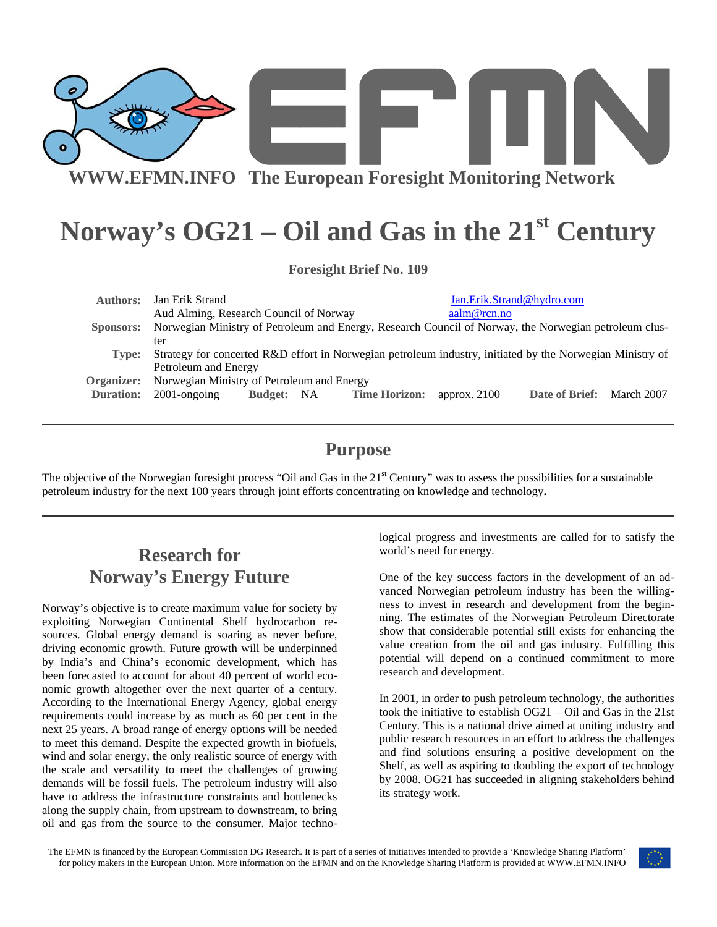

**WWW.EFMN.INFO The European Foresight Monitoring Network**

# Norway's OG21 – Oil and Gas in the 21<sup>st</sup> Century

**Foresight Brief No. 109** 

| <b>Authors:</b>  | Jan Erik Strand                                                                                           |            |  |                      | Jan.Erik.Strand@hydro.com |                |            |
|------------------|-----------------------------------------------------------------------------------------------------------|------------|--|----------------------|---------------------------|----------------|------------|
|                  | Aud Alming, Research Council of Norway                                                                    |            |  |                      | aalm@rcn.no               |                |            |
| Sponsors:        | Norwegian Ministry of Petroleum and Energy, Research Council of Norway, the Norwegian petroleum clus-     |            |  |                      |                           |                |            |
|                  | ter                                                                                                       |            |  |                      |                           |                |            |
| Type:            | Strategy for concerted R&D effort in Norwegian petroleum industry, initiated by the Norwegian Ministry of |            |  |                      |                           |                |            |
|                  | Petroleum and Energy                                                                                      |            |  |                      |                           |                |            |
| Organizer:       | Norwegian Ministry of Petroleum and Energy                                                                |            |  |                      |                           |                |            |
| <b>Duration:</b> | $2001$ -ongoing                                                                                           | Budget: NA |  | <b>Time Horizon:</b> | approx. $2100$            | Date of Brief: | March 2007 |
|                  |                                                                                                           |            |  |                      |                           |                |            |

#### **Purpose**

The objective of the Norwegian foresight process "Oil and Gas in the  $21<sup>st</sup>$  Century" was to assess the possibilities for a sustainable petroleum industry for the next 100 years through joint efforts concentrating on knowledge and technology**.** 

# **Research for Norway's Energy Future**

Norway's objective is to create maximum value for society by exploiting Norwegian Continental Shelf hydrocarbon resources. Global energy demand is soaring as never before, driving economic growth. Future growth will be underpinned by India's and China's economic development, which has been forecasted to account for about 40 percent of world economic growth altogether over the next quarter of a century. According to the International Energy Agency, global energy requirements could increase by as much as 60 per cent in the next 25 years. A broad range of energy options will be needed to meet this demand. Despite the expected growth in biofuels, wind and solar energy, the only realistic source of energy with the scale and versatility to meet the challenges of growing demands will be fossil fuels. The petroleum industry will also have to address the infrastructure constraints and bottlenecks along the supply chain, from upstream to downstream, to bring oil and gas from the source to the consumer. Major technological progress and investments are called for to satisfy the world's need for energy.

One of the key success factors in the development of an advanced Norwegian petroleum industry has been the willingness to invest in research and development from the beginning. The estimates of the Norwegian Petroleum Directorate show that considerable potential still exists for enhancing the value creation from the oil and gas industry. Fulfilling this potential will depend on a continued commitment to more research and development.

In 2001, in order to push petroleum technology, the authorities took the initiative to establish OG21 – Oil and Gas in the 21st Century. This is a national drive aimed at uniting industry and public research resources in an effort to address the challenges and find solutions ensuring a positive development on the Shelf, as well as aspiring to doubling the export of technology by 2008. OG21 has succeeded in aligning stakeholders behind its strategy work.

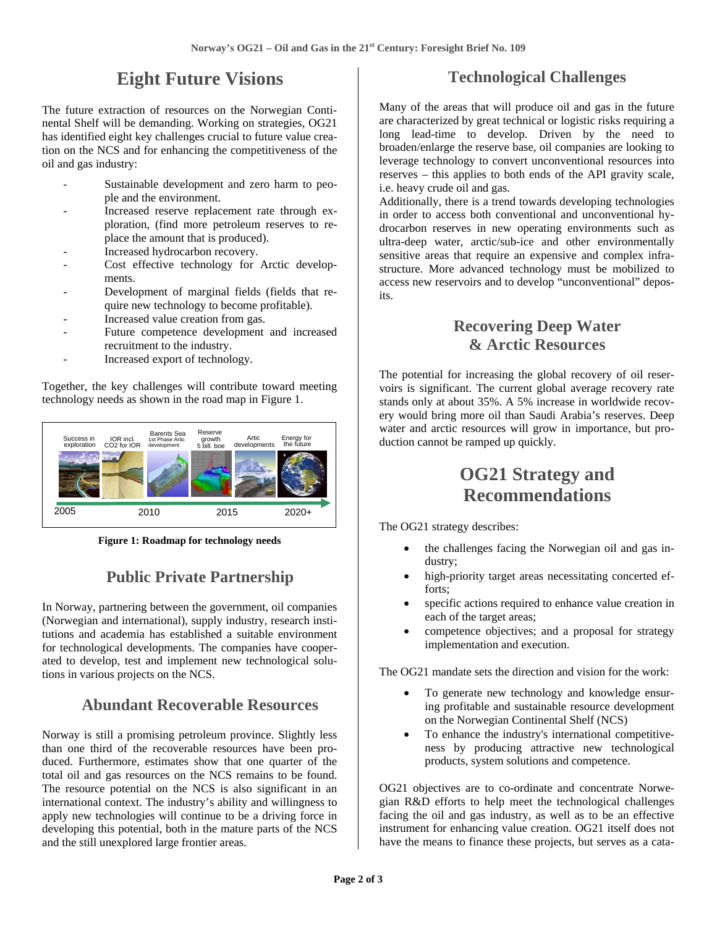# **Eight Future Visions**

The future extraction of resources on the Norwegian Continental Shelf will be demanding. Working on strategies, OG21 has identified eight key challenges crucial to future value creation on the NCS and for enhancing the competitiveness of the oil and gas industry:

- Sustainable development and zero harm to people and the environment.
- Increased reserve replacement rate through exploration, (find more petroleum reserves to replace the amount that is produced).
- Increased hydrocarbon recovery.
- Cost effective technology for Arctic developments.
- Development of marginal fields (fields that require new technology to become profitable).
- Increased value creation from gas.
- Future competence development and increased recruitment to the industry.
- Increased export of technology.

Together, the key challenges will contribute toward meeting technology needs as shown in the road map in Figure 1.



**Figure 1: Roadmap for technology needs** 

## **Public Private Partnership**

In Norway, partnering between the government, oil companies (Norwegian and international), supply industry, research institutions and academia has established a suitable environment for technological developments. The companies have cooperated to develop, test and implement new technological solutions in various projects on the NCS.

#### **Abundant Recoverable Resources**

Norway is still a promising petroleum province. Slightly less than one third of the recoverable resources have been produced. Furthermore, estimates show that one quarter of the total oil and gas resources on the NCS remains to be found. The resource potential on the NCS is also significant in an international context. The industry's ability and willingness to apply new technologies will continue to be a driving force in developing this potential, both in the mature parts of the NCS and the still unexplored large frontier areas.

#### **Technological Challenges**

Many of the areas that will produce oil and gas in the future are characterized by great technical or logistic risks requiring a long lead-time to develop. Driven by the need to broaden/enlarge the reserve base, oil companies are looking to leverage technology to convert unconventional resources into reserves – this applies to both ends of the API gravity scale, i.e. heavy crude oil and gas.

Additionally, there is a trend towards developing technologies in order to access both conventional and unconventional hydrocarbon reserves in new operating environments such as ultra-deep water, arctic/sub-ice and other environmentally sensitive areas that require an expensive and complex infrastructure. More advanced technology must be mobilized to access new reservoirs and to develop "unconventional" deposits.

#### **Recovering Deep Water & Arctic Resources**

The potential for increasing the global recovery of oil reservoirs is significant. The current global average recovery rate stands only at about 35%. A 5% increase in worldwide recovery would bring more oil than Saudi Arabia's reserves. Deep water and arctic resources will grow in importance, but production cannot be ramped up quickly.

### **OG21 Strategy and Recommendations**

The OG21 strategy describes:

- the challenges facing the Norwegian oil and gas industry;
- high-priority target areas necessitating concerted efforts;
- specific actions required to enhance value creation in each of the target areas;
- competence objectives; and a proposal for strategy implementation and execution.

The OG21 mandate sets the direction and vision for the work:

- To generate new technology and knowledge ensuring profitable and sustainable resource development on the Norwegian Continental Shelf (NCS)
- To enhance the industry's international competitiveness by producing attractive new technological products, system solutions and competence.

OG21 objectives are to co-ordinate and concentrate Norwegian R&D efforts to help meet the technological challenges facing the oil and gas industry, as well as to be an effective instrument for enhancing value creation. OG21 itself does not have the means to finance these projects, but serves as a cata-